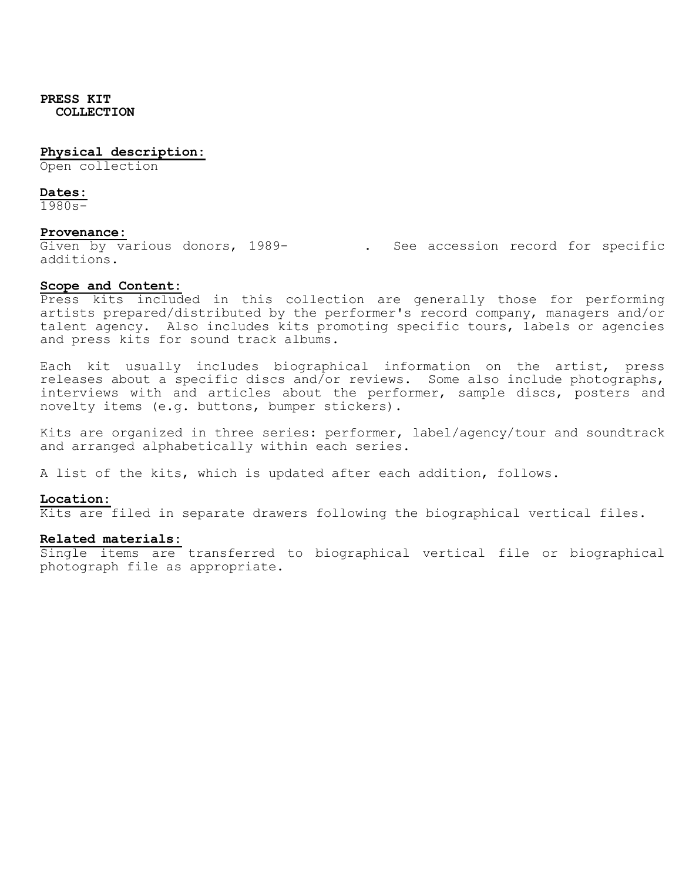#### **Physical description:**

Open collection

#### **Dates:**

1980s-

#### **Provenance:**

Given by various donors, 1989-<br>
. See accession record for specific additions.

#### **Scope and Content:**

Press kits included in this collection are generally those for performing artists prepared/distributed by the performer's record company, managers and/or talent agency. Also includes kits promoting specific tours, labels or agencies and press kits for sound track albums.

Each kit usually includes biographical information on the artist, press releases about a specific discs and/or reviews. Some also include photographs, interviews with and articles about the performer, sample discs, posters and novelty items (e.g. buttons, bumper stickers).

Kits are organized in three series: performer, label/agency/tour and soundtrack and arranged alphabetically within each series.

A list of the kits, which is updated after each addition, follows.

### **Location:**

Kits are filed in separate drawers following the biographical vertical files.

#### **Related materials:**

Single items are transferred to biographical vertical file or biographical photograph file as appropriate.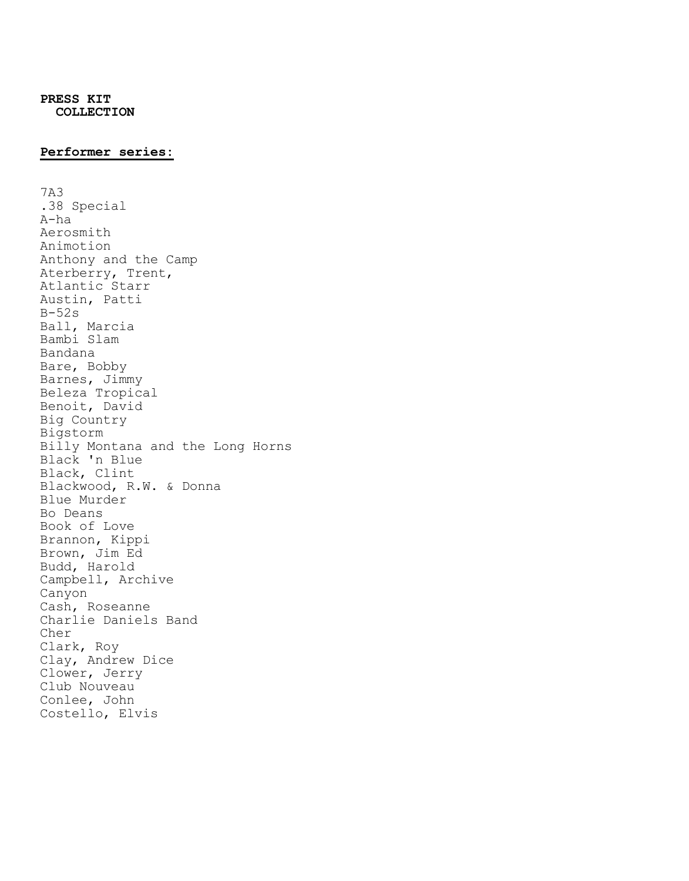## **Performer series:**

7A3 .38 Special A-ha Aerosmith Animotion Anthony and the Camp Aterberry, Trent, Atlantic Starr Austin, Patti B-52s Ball, Marcia Bambi Slam Bandana Bare, Bobby Barnes, Jimmy Beleza Tropical Benoit, David Big Country Bigstorm Billy Montana and the Long Horns Black 'n Blue Black, Clint Blackwood, R.W. & Donna Blue Murder Bo Deans Book of Love Brannon, Kippi Brown, Jim Ed Budd, Harold Campbell, Archive Canyon Cash, Roseanne Charlie Daniels Band Cher Clark, Roy Clay, Andrew Dice Clower, Jerry Club Nouveau Conlee, John Costello, Elvis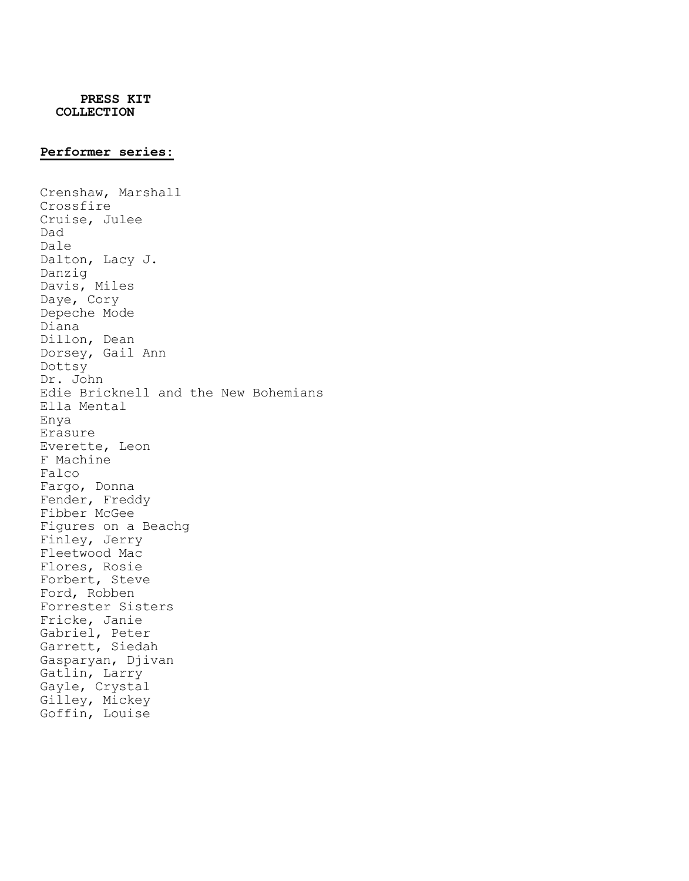#### **Performer series:**

Crenshaw, Marshall Crossfire Cruise, Julee Dad Dale Dalton, Lacy J. Danzig Davis, Miles Daye, Cory Depeche Mode Diana Dillon, Dean Dorsey, Gail Ann Dottsy Dr. John Edie Bricknell and the New Bohemians Ella Mental Enya Erasure Everette, Leon F Machine Falco Fargo, Donna Fender, Freddy Fibber McGee Figures on a Beachg Finley, Jerry Fleetwood Mac Flores, Rosie Forbert, Steve Ford, Robben Forrester Sisters Fricke, Janie Gabriel, Peter Garrett, Siedah Gasparyan, Djivan Gatlin, Larry Gayle, Crystal Gilley, Mickey Goffin, Louise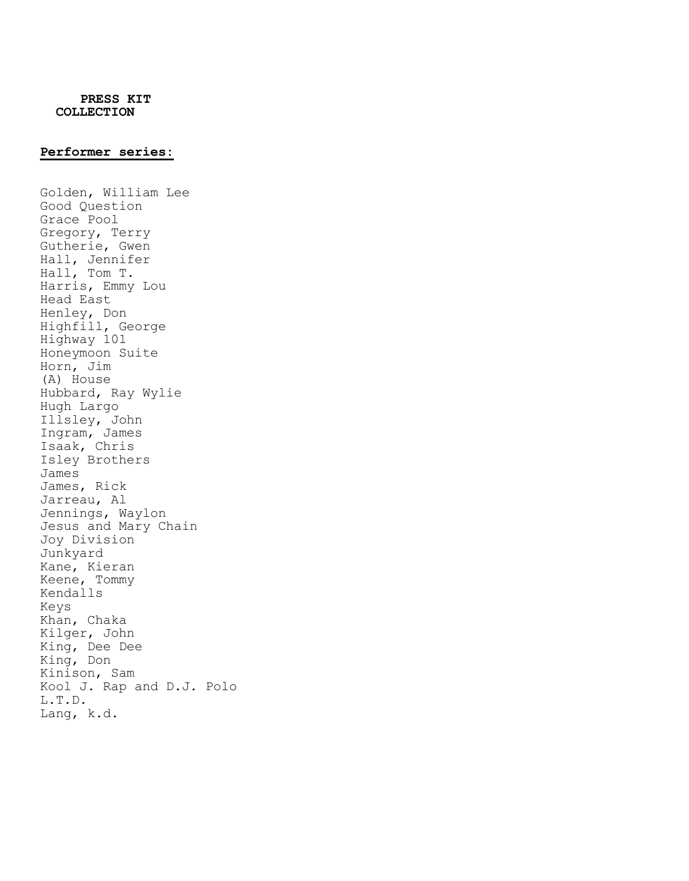#### **Performer series:**

Golden, William Lee Good Question Grace Pool Gregory, Terry Gutherie, Gwen Hall, Jennifer Hall, Tom T. Harris, Emmy Lou Head East Henley, Don Highfill, George Highway 101 Honeymoon Suite Horn, Jim (A) House Hubbard, Ray Wylie Hugh Largo Illsley, John Ingram, James Isaak, Chris Isley Brothers James James, Rick Jarreau, Al Jennings, Waylon Jesus and Mary Chain Joy Division Junkyard Kane, Kieran Keene, Tommy Kendalls Keys Khan, Chaka Kilger, John King, Dee Dee King, Don Kinison, Sam Kool J. Rap and D.J. Polo L.T.D. Lang, k.d.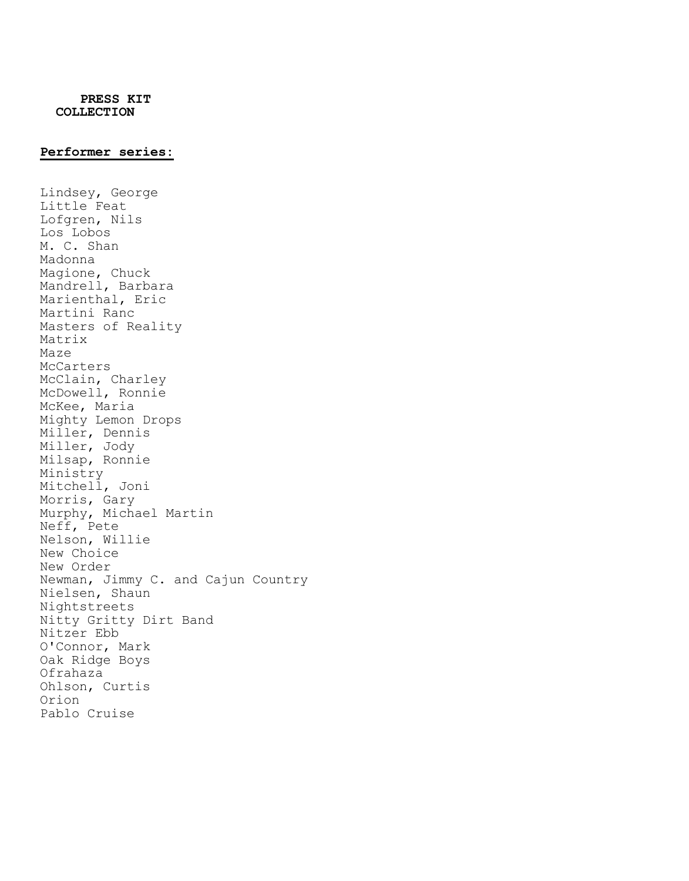### **Performer series:**

Lindsey, George Little Feat Lofgren, Nils Los Lobos M. C. Shan Madonna Magione, Chuck Mandrell, Barbara Marienthal, Eric Martini Ranc Masters of Reality Matrix Maze McCarters McClain, Charley McDowell, Ronnie McKee, Maria Mighty Lemon Drops Miller, Dennis Miller, Jody Milsap, Ronnie Ministry Mitchell, Joni Morris, Gary Murphy, Michael Martin Neff, Pete Nelson, Willie New Choice New Order Newman, Jimmy C. and Cajun Country Nielsen, Shaun Nightstreets Nitty Gritty Dirt Band Nitzer Ebb O'Connor, Mark Oak Ridge Boys Ofrahaza Ohlson, Curtis Orion Pablo Cruise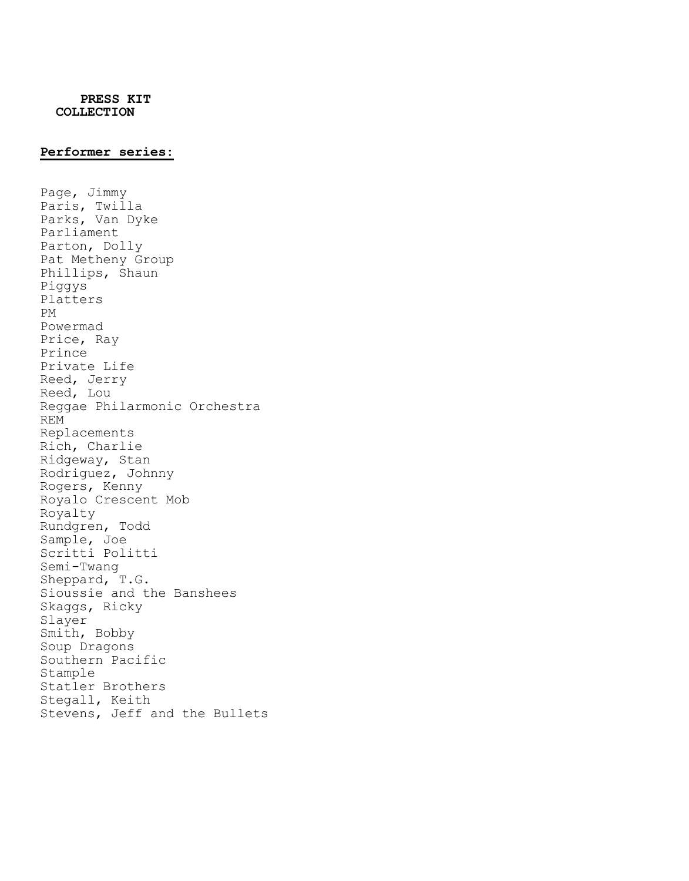#### **Performer series:**

Page, Jimmy Paris, Twilla Parks, Van Dyke Parliament Parton, Dolly Pat Metheny Group Phillips, Shaun Piggys Platters PM Powermad Price, Ray Prince Private Life Reed, Jerry Reed, Lou Reggae Philarmonic Orchestra REM Replacements Rich, Charlie Ridgeway, Stan Rodriguez, Johnny Rogers, Kenny Royalo Crescent Mob Royalty Rundgren, Todd Sample, Joe Scritti Politti Semi-Twang Sheppard, T.G. Sioussie and the Banshees Skaggs, Ricky Slayer Smith, Bobby Soup Dragons Southern Pacific Stample Statler Brothers Stegall, Keith Stevens, Jeff and the Bullets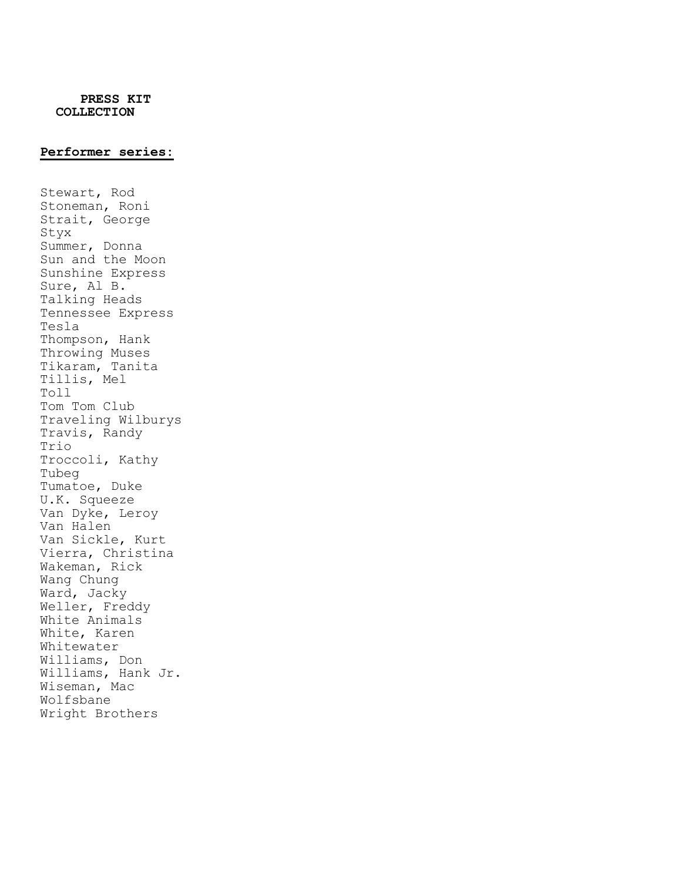### **Performer series:**

Stewart, Rod Stoneman, Roni Strait, George Styx Summer, Donna Sun and the Moon Sunshine Express Sure, Al B. Talking Heads Tennessee Express Tesla Thompson, Hank Throwing Muses Tikaram, Tanita Tillis, Mel Toll Tom Tom Club Traveling Wilburys Travis, Randy Trio Troccoli, Kathy Tubeg Tumatoe, Duke U.K. Squeeze Van Dyke, Leroy Van Halen Van Sickle, Kurt Vierra, Christina Wakeman, Rick Wang Chung Ward, Jacky Weller, Freddy White Animals White, Karen Whitewater Williams, Don Williams, Hank Jr. Wiseman, Mac Wolfsbane Wright Brothers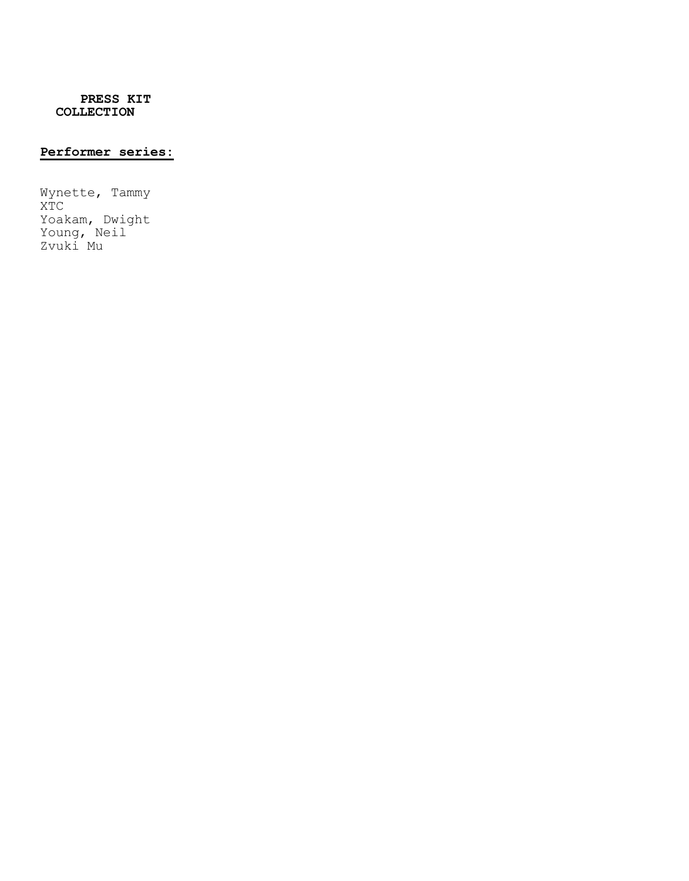# **Performer series:**

Wynette, Tammy XTC Yoakam, Dwight Young, Neil Zvuki Mu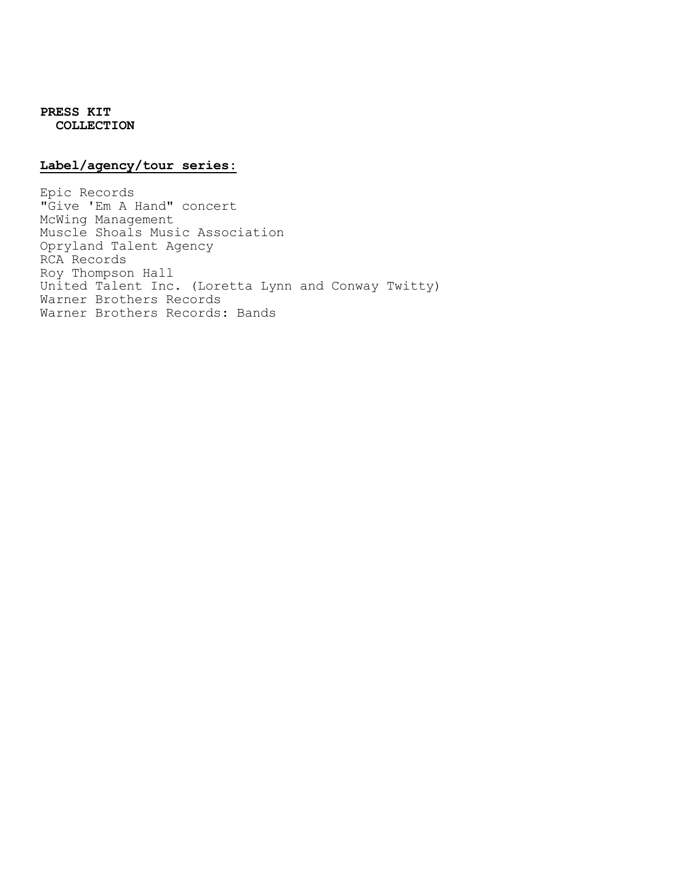## **Label/agency/tour series:**

Epic Records "Give 'Em A Hand" concert McWing Management Muscle Shoals Music Association Opryland Talent Agency RCA Records Roy Thompson Hall United Talent Inc. (Loretta Lynn and Conway Twitty) Warner Brothers Records Warner Brothers Records: Bands